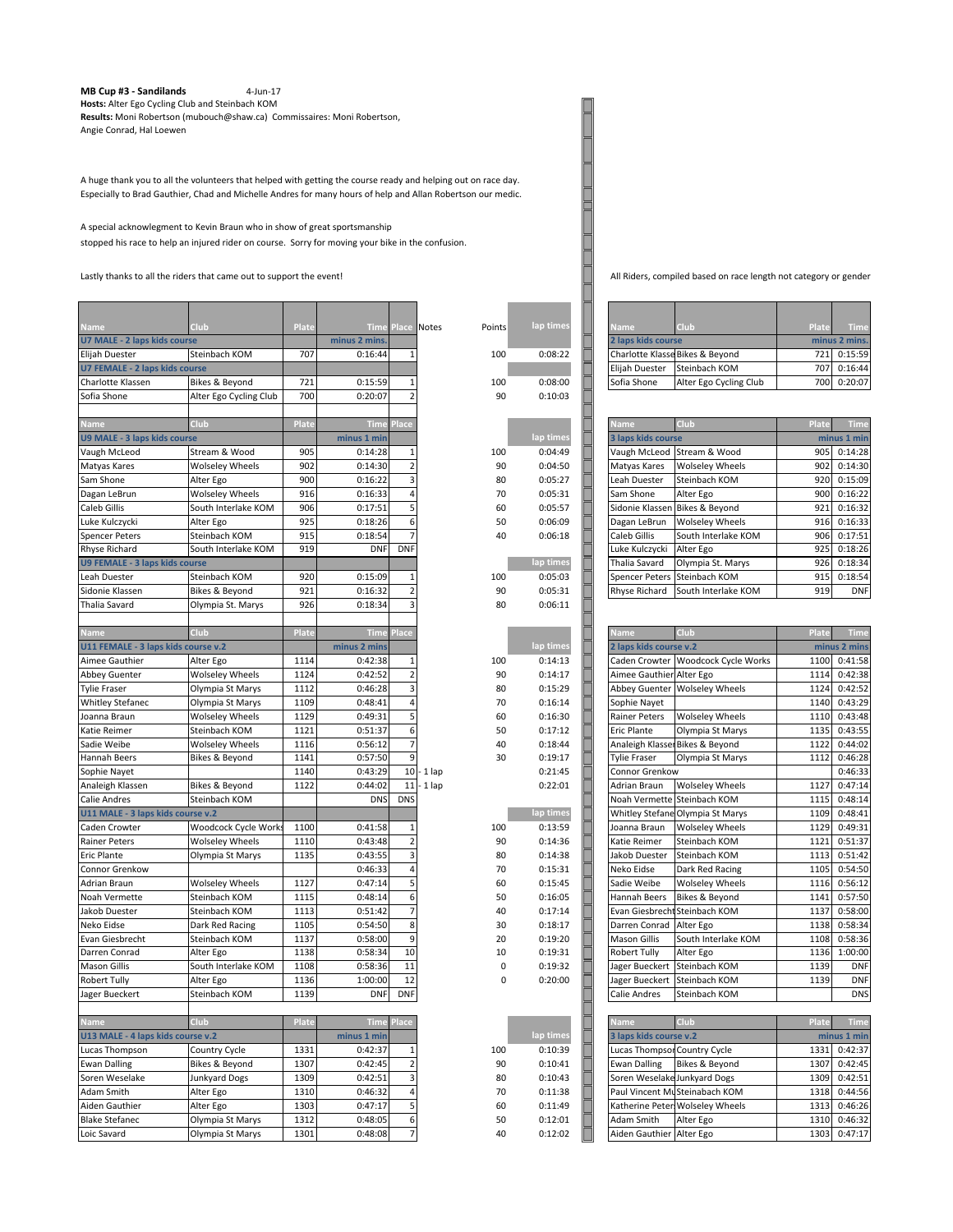## **MB Cup #3 - Sandilands** 4-Jun-17 **Hosts:** Alter Ego Cycling Club and Steinbach KOM

**Results:** Moni Robertson (mubouch@shaw.ca) Commissaires: Moni Robertson, Angie Conrad, Hal Loewen

A huge thank you to all the volunteers that helped with getting the course ready and helping out on race day. Especially to Brad Gauthier, Chad and Michelle Andres for many hours of help and Allan Robertson our medic.

## A special acknowlegment to Kevin Braun who in show of great sportsmanship stopped his race to help an injured rider on course. Sorry for moving your bike in the confusion.

Lastly thanks to all the riders that came out to support the event!<br>
All Riders, compiled based on race length not category or gender

| <u>Name</u>                           | Club                   | Plate | <b>Time</b>        |                     | <b>Place Notes</b><br>Points | lap times | Name                         | Club                             | Plate | <b>Time</b>   |
|---------------------------------------|------------------------|-------|--------------------|---------------------|------------------------------|-----------|------------------------------|----------------------------------|-------|---------------|
| U7 MALE - 2 laps kids course          |                        |       | minus 2 mins.      |                     |                              |           | 2 laps kids course           |                                  |       | minus 2 mins. |
| Elijah Duester                        | Steinbach KOM          | 707   | 0:16:44            | $\mathbf{1}$        | 100                          | 0:08:22   |                              | Charlotte Klasse Bikes & Beyond  | 721   | 0:15:59       |
| <b>U7 FEMALE - 2 laps kids course</b> |                        |       |                    |                     |                              |           | Elijah Duester               | Steinbach KOM                    | 707   | 0:16:44       |
| Charlotte Klassen                     | Bikes & Beyond         | 721   | 0:15:59            | 1                   | 100                          | 0:08:00   | Sofia Shone                  | Alter Ego Cycling Club           | 700   | 0:20:07       |
| Sofia Shone                           | Alter Ego Cycling Club | 700   | 0:20:07            | $\overline{2}$      | 90                           | 0:10:03   |                              |                                  |       |               |
|                                       |                        |       |                    |                     |                              |           |                              |                                  |       |               |
| Name                                  | Club                   | Plate | <b>Time</b>        | Place               |                              |           | Name                         | Club                             | Plate | <b>Time</b>   |
| U9 MALE - 3 laps kids course          |                        |       | minus 1 min        |                     |                              | lap times | 3 laps kids course           |                                  |       | minus 1 min   |
| Vaugh McLeod                          | Stream & Wood          | 905   | 0:14:28            | $\mathbf{1}$        | 100                          | 0:04:49   | Vaugh McLeod                 | Stream & Wood                    | 905   | 0:14:28       |
| Matyas Kares                          | <b>Wolseley Wheels</b> | 902   | 0:14:30            | $\overline{2}$      | 90                           | 0:04:50   | Matyas Kares                 | <b>Wolseley Wheels</b>           | 902   | 0:14:30       |
| Sam Shone                             | Alter Ego              | 900   | 0:16:22            | 3                   | 80                           | 0:05:27   | Leah Duester                 | Steinbach KOM                    | 920   | 0:15:09       |
| Dagan LeBrun                          | <b>Wolseley Wheels</b> | 916   | 0:16:33            | 4                   | 70                           | 0:05:31   | Sam Shone                    | Alter Ego                        | 900   | 0:16:22       |
| Caleb Gillis                          | South Interlake KOM    | 906   | 0:17:51            | 5                   | 60                           | 0:05:57   | Sidonie Klassen              | Bikes & Beyond                   | 921   | 0:16:32       |
|                                       |                        | 925   |                    |                     |                              |           |                              |                                  | 916   | 0:16:33       |
| Luke Kulczycki                        | Alter Ego              | 915   | 0:18:26<br>0:18:54 | 6<br>$\overline{7}$ | 50                           | 0:06:09   | Dagan LeBrun                 | <b>Wolseley Wheels</b>           |       |               |
| <b>Spencer Peters</b>                 | Steinbach KOM          |       |                    |                     | 40                           | 0:06:18   | Caleb Gillis                 | South Interlake KOM              | 906   | 0:17:51       |
| Rhyse Richard                         | South Interlake KOM    | 919   | <b>DNF</b>         | <b>DNF</b>          |                              |           | Luke Kulczycki               | Alter Ego                        | 925   | 0:18:26       |
| <b>U9 FEMALE - 3 laps kids course</b> |                        |       |                    |                     |                              | lap times | Thalia Savard                | Olympia St. Marys                | 926   | 0:18:34       |
| Leah Duester                          | Steinbach KOM          | 920   | 0:15:09            | $\mathbf{1}$        | 100                          | 0:05:03   | Spencer Peters               | Steinbach KOM                    | 915   | 0:18:54       |
| Sidonie Klassen                       | Bikes & Beyond         | 921   | 0:16:32            | $\overline{2}$      | 90                           | 0:05:31   | <b>Rhyse Richard</b>         | South Interlake KOM              | 919   | <b>DNF</b>    |
| Thalia Savard                         | Olympia St. Marys      | 926   | 0:18:34            | 3                   | 80                           | 0:06:11   |                              |                                  |       |               |
|                                       |                        |       |                    |                     |                              |           |                              |                                  |       |               |
| Name                                  | Club                   | Plate | Time               | Place               |                              |           | Name                         | Club                             | Plate | <b>Time</b>   |
| U11 FEMALE - 3 laps kids course v.2   |                        |       | minus 2 mins       |                     |                              | lap times | 2 laps kids course v.2       |                                  |       | minus 2 mins  |
| Aimee Gauthier                        | Alter Ego              | 1114  | 0:42:38            | 1                   | 100                          | 0:14:13   | Caden Crowter                | Woodcock Cycle Works             | 1100  | 0:41:58       |
| <b>Abbey Guenter</b>                  | <b>Wolseley Wheels</b> | 1124  | 0:42:52            | $\overline{2}$      | 90                           | 0:14:17   | Aimee Gauthier               | Alter Ego                        | 1114  | 0:42:38       |
| <b>Tylie Fraser</b>                   | Olympia St Marys       | 1112  | 0:46:28            | 3                   | 80                           | 0:15:29   | Abbey Guenter                | <b>Wolseley Wheels</b>           | 1124  | 0:42:52       |
| <b>Whitley Stefanec</b>               | Olympia St Marys       | 1109  | 0:48:41            | 4                   | 70                           | 0:16:14   | Sophie Nayet                 |                                  | 1140  | 0:43:29       |
| Joanna Braun                          | <b>Wolseley Wheels</b> | 1129  | 0:49:31            | 5                   | 60                           | 0:16:30   | Rainer Peters                | <b>Wolseley Wheels</b>           | 1110  | 0:43:48       |
| Katie Reimer                          | Steinbach KOM          | 1121  | 0:51:37            | 6                   | 50                           | 0:17:12   | <b>Eric Plante</b>           | Olympia St Marys                 | 1135  | 0:43:55       |
| Sadie Weibe                           | <b>Wolseley Wheels</b> | 1116  | 0:56:12            | 7                   | 40                           | 0:18:44   | Analeigh Klasse              | Bikes & Beyond                   | 1122  | 0:44:02       |
| Hannah Beers                          | Bikes & Beyond         | 1141  | 0:57:50            | 9                   | 30                           | 0:19:17   | <b>Tylie Fraser</b>          | Olympia St Marys                 | 1112  | 0:46:28       |
| Sophie Nayet                          |                        | 1140  | 0:43:29            |                     | $10 - 1$ lap                 | 0:21:45   | Connor Grenkow               |                                  |       | 0:46:33       |
| Analeigh Klassen                      | Bikes & Beyond         | 1122  | 0:44:02            | 11                  | ∙ 1 lap                      | 0:22:01   | Adrian Braun                 | <b>Wolseley Wheels</b>           | 1127  | 0:47:14       |
| Calie Andres                          | Steinbach KOM          |       | <b>DNS</b>         | <b>DNS</b>          |                              |           | Noah Vermette                | Steinbach KOM                    | 1115  | 0:48:14       |
| U11 MALE - 3 laps kids course v.2     |                        |       |                    |                     |                              | lap times | Whitley Stefane              | Olympia St Marys                 | 1109  | 0:48:41       |
| Caden Crowter                         | Woodcock Cycle Works   | 1100  | 0:41:58            | $1\,$               | 100                          | 0:13:59   | Joanna Braun                 | <b>Wolseley Wheels</b>           | 1129  | 0:49:31       |
| <b>Rainer Peters</b>                  | <b>Wolseley Wheels</b> | 1110  | 0:43:48            | $\overline{a}$      | 90                           | 0:14:36   | Katie Reimer                 | Steinbach KOM                    | 1121  | 0:51:37       |
| <b>Eric Plante</b>                    | Olympia St Marys       | 1135  | 0:43:55            | 3                   | 80                           | 0:14:38   | Jakob Duester                | Steinbach KOM                    | 1113  | 0:51:42       |
| Connor Grenkow                        |                        |       | 0:46:33            | 4                   | 70                           | 0:15:31   | Neko Eidse                   | Dark Red Racing                  | 1105  | 0:54:50       |
| Adrian Braun                          | <b>Wolseley Wheels</b> | 1127  | 0:47:14            | 5                   | 60                           | 0:15:45   | Sadie Weibe                  | <b>Wolseley Wheels</b>           | 1116  | 0:56:12       |
| Noah Vermette                         | Steinbach KOM          | 1115  | 0:48:14            | 6                   | 50                           | 0:16:05   | Hannah Beers                 | Bikes & Beyond                   | 1141  | 0:57:50       |
| Jakob Duester                         | Steinbach KOM          | 1113  | 0:51:42            | 7                   | 40                           | 0:17:14   | <b>Evan Giesbrech</b>        | Steinbach KOM                    | 1137  | 0:58:00       |
| Neko Eidse                            | Dark Red Racing        | 1105  | 0:54:50            | 8                   | 30                           | 0:18:17   | Darren Conrad                | Alter Ego                        | 1138  | 0:58:34       |
| Evan Giesbrecht                       | Steinbach KOM          | 1137  | 0:58:00            | 9                   | 20                           | 0:19:20   | <b>Mason Gillis</b>          | South Interlake KOM              | 1108  | 0:58:36       |
| Darren Conrad                         | Alter Ego              | 1138  | 0:58:34            | 10                  | 10                           | 0:19:31   | <b>Robert Tully</b>          | Alter Ego                        | 1136  | 1:00:00       |
| <b>Mason Gillis</b>                   | South Interlake KOM    | 1108  | 0:58:36            | 11                  | 0                            | 0:19:32   | Jager Bueckert               | Steinbach KOM                    | 1139  | <b>DNF</b>    |
| <b>Robert Tully</b>                   | Alter Ego              | 1136  | 1:00:00            | 12                  | 0                            | 0:20:00   | Jager Bueckert               | Steinbach KOM                    | 1139  | <b>DNF</b>    |
| Jager Bueckert                        | Steinbach KOM          | 1139  | <b>DNF</b>         | <b>DNF</b>          |                              |           | Calie Andres                 | Steinbach KOM                    |       | <b>DNS</b>    |
|                                       |                        |       |                    |                     |                              |           |                              |                                  |       |               |
| Name                                  | Club                   | Plate | <b>Time</b>        | Place               |                              |           | <b>Name</b>                  | Club                             | Plate | Time          |
| U13 MALE - 4 laps kids course v.2     |                        |       | minus 1 min        |                     |                              | lap times | 3 laps kids course v.2       |                                  |       | minus 1 min   |
|                                       |                        | 1331  |                    |                     |                              |           | Lucas Thompsor Country Cycle |                                  |       |               |
| Lucas Thompson                        | Country Cycle          |       | 0:42:37            | $\mathbf{1}$        | 100                          | 0:10:39   |                              |                                  | 1331  | 0:42:37       |
| <b>Ewan Dalling</b>                   | Bikes & Beyond         | 1307  | 0:42:45            | $\overline{2}$      | 90                           | 0:10:41   | <b>Ewan Dalling</b>          | Bikes & Beyond                   | 1307  | 0:42:45       |
| Soren Weselake                        | Junkyard Dogs          | 1309  | 0:42:51            | 3                   | 80                           | 0:10:43   | Soren Weselake Junkyard Dogs |                                  | 1309  | 0:42:51       |
| Adam Smith                            | Alter Ego              | 1310  | 0:46:32            | 4                   | 70                           | 0:11:38   |                              | Paul Vincent MuSteinabach KOM    | 1318  | 0:44:56       |
| Aiden Gauthier                        | Alter Ego              | 1303  | 0:47:17            | 5                   | 60                           | 0:11:49   |                              | Katherine Peter: Wolseley Wheels | 1313  | 0:46:26       |
| <b>Blake Stefanec</b>                 | Olympia St Marys       | 1312  | 0:48:05            | 6                   | 50                           | 0:12:01   | Adam Smith                   | Alter Ego                        | 1310  | 0:46:32       |
| Loic Savard                           | Olympia St Marys       | 1301  | 0:48:08            | $\overline{7}$      | 40                           | 0:12:02   | Aiden Gauthier               | Alter Ego                        | 1303  | 0:47:17       |

F

F

| <b>Name</b>                     | Club                   | <b>Plate</b>  | <b>Time</b> |
|---------------------------------|------------------------|---------------|-------------|
| 2 laps kids course              |                        | minus 2 mins. |             |
| Charlotte Klasse Bikes & Beyond |                        | 721           | 0:15:59     |
| Elijah Duester                  | Steinbach KOM          | 707           | 0:16:44     |
| Sofia Shone                     | Alter Ego Cycling Club | 700           | 0:20:07     |

| <b>Name</b>           | Club                   | Plate       | <b>Time</b> |
|-----------------------|------------------------|-------------|-------------|
| 3 laps kids course    |                        | minus 1 min |             |
| Vaugh McLeod          | Stream & Wood          | 905         | 0:14:28     |
| Matyas Kares          | <b>Wolseley Wheels</b> | 902         | 0:14:30     |
| Leah Duester          | Steinbach KOM          | 920         | 0:15:09     |
| Sam Shone             | Alter Ego              | 900         | 0:16:22     |
| Sidonie Klassen       | Bikes & Beyond         | 921         | 0:16:32     |
| Dagan LeBrun          | <b>Wolseley Wheels</b> | 916         | 0:16:33     |
| Caleb Gillis          | South Interlake KOM    | 906         | 0:17:51     |
| Luke Kulczycki        | Alter Ego              | 925         | 0:18:26     |
| <b>Thalia Savard</b>  | Olympia St. Marys      | 926         | 0:18:34     |
| <b>Spencer Peters</b> | Steinbach KOM          | 915         | 0:18:54     |
| <b>Rhyse Richard</b>  | South Interlake KOM    | 919         | <b>DNF</b>  |

| Club<br><b>Name</b>          |                                    | Plate        | <b>Time</b> |  |
|------------------------------|------------------------------------|--------------|-------------|--|
| 2 laps kids course v.2       |                                    | minus 2 mins |             |  |
|                              | Caden Crowter Woodcock Cycle Works | 1100         | 0:41:58     |  |
| Aimee Gauthier Alter Ego     |                                    | 1114         | 0:42:38     |  |
| Abbey Guenter                | <b>Wolseley Wheels</b>             | 1124         | 0:42:52     |  |
| Sophie Nayet                 |                                    | 1140         | 0:43:29     |  |
| <b>Rainer Peters</b>         | <b>Wolseley Wheels</b>             | 1110         | 0:43:48     |  |
| <b>Eric Plante</b>           | Olympia St Marys                   | 1135         | 0:43:55     |  |
|                              | Analeigh Klasser Bikes & Beyond    | 1122         | 0:44:02     |  |
| <b>Tylie Fraser</b>          | Olympia St Marys                   | 1112         | 0:46:28     |  |
| Connor Grenkow               |                                    |              | 0:46:33     |  |
| Adrian Braun                 | <b>Wolseley Wheels</b>             | 1127         | 0:47:14     |  |
| Noah Vermette                | Steinbach KOM                      | 1115         | 0:48:14     |  |
|                              | Whitley Stefane Olympia St Marys   | 1109         | 0:48:41     |  |
| Joanna Braun                 | <b>Wolseley Wheels</b>             | 1129         | 0:49:31     |  |
| Katie Reimer                 | Steinbach KOM                      | 1121         | 0:51:37     |  |
| Jakob Duester                | Steinbach KOM                      | 1113         | 0:51:42     |  |
| Neko Eidse                   | Dark Red Racing                    | 1105         | 0:54:50     |  |
| Sadie Weibe                  | <b>Wolseley Wheels</b>             | 1116         | 0:56:12     |  |
| Hannah Beers                 | Bikes & Beyond                     | 1141         | 0:57:50     |  |
|                              | Evan Giesbrecht Steinbach KOM      | 1137         | 0:58:00     |  |
| Darren Conrad                | Alter Ego                          | 1138         | 0:58:34     |  |
| Mason Gillis                 | South Interlake KOM                | 1108         | 0:58:36     |  |
| <b>Robert Tully</b>          | Alter Ego                          | 1136         | 1:00:00     |  |
| Jager Bueckert               | Steinbach KOM                      | 1139         | <b>DNF</b>  |  |
| Jager Bueckert               | Steinbach KOM                      | 1139         | <b>DNF</b>  |  |
| Calie Andres                 | Steinbach KOM                      |              | <b>DNS</b>  |  |
| <b>Name</b>                  | Club                               | Plate        | <b>Time</b> |  |
| 3 laps kids course v.2       |                                    |              | minus 1 min |  |
|                              |                                    | 1331         | 0:42:37     |  |
| Lucas Thompsor Country Cycle |                                    |              |             |  |

| 3 laps kids course v.2       |                                  | minue 1 min |         |
|------------------------------|----------------------------------|-------------|---------|
| Lucas Thompson Country Cycle |                                  | 1331        | 0:42:37 |
| <b>Ewan Dalling</b>          | Bikes & Beyond                   | 1307        | 0:42:45 |
| Soren Weselake Junkyard Dogs |                                  | 1309        | 0:42:51 |
|                              | Paul Vincent MuSteinabach KOM    | 1318        | 0:44:56 |
|                              | Katherine Peter: Wolseley Wheels | 1313        | 0:46:26 |
| Adam Smith                   | Alter Ego                        | 1310        | 0:46:32 |
| Aiden Gauthier Alter Ego     |                                  | 1303        | 0:47:17 |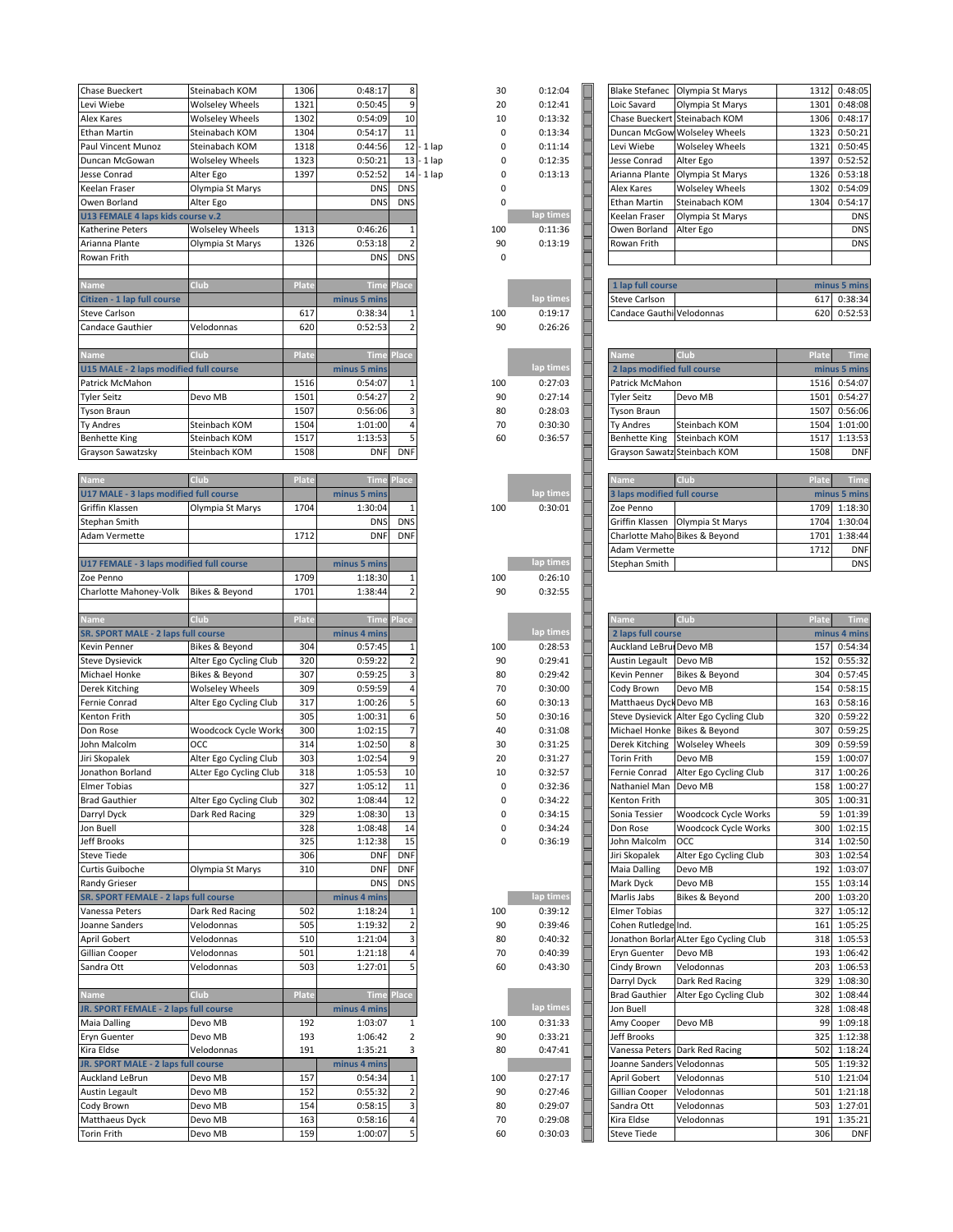| <b>Chase Bueckert</b>                                                                                                                                                                                                                                                                                    | Steinabach KOM         | 1306       | 0:48:17            | 8                       | 30           | 0:12:04            |
|----------------------------------------------------------------------------------------------------------------------------------------------------------------------------------------------------------------------------------------------------------------------------------------------------------|------------------------|------------|--------------------|-------------------------|--------------|--------------------|
| Levi Wiebe                                                                                                                                                                                                                                                                                               | <b>Wolseley Wheels</b> | 1321       | 0:50:45            | 9                       | 20           | 0:12:41            |
| Alex Kares                                                                                                                                                                                                                                                                                               | <b>Wolseley Wheels</b> | 1302       | 0:54:09            | 10                      | 10           | 0:13:32            |
| Ethan Martin                                                                                                                                                                                                                                                                                             | Steinabach KOM         | 1304       | 0:54:17            | 11                      | 0            | 0:13:34            |
| Paul Vincent Munoz                                                                                                                                                                                                                                                                                       | Steinabach KOM         | 1318       | 0:44:56            | 12                      | -1 lap<br>0  | 0:11:14            |
| Duncan McGowan                                                                                                                                                                                                                                                                                           | <b>Wolseley Wheels</b> | 1323       | 0:50:21            | 13                      | -1 lap<br>0  | 0:12:35            |
| Jesse Conrad                                                                                                                                                                                                                                                                                             | Alter Ego              | 1397       | 0:52:52            | 14                      | · 1 lap<br>0 | 0:13:13            |
| Keelan Fraser                                                                                                                                                                                                                                                                                            | Olympia St Marys       |            | <b>DNS</b>         | <b>DNS</b>              | 0            |                    |
| Owen Borland                                                                                                                                                                                                                                                                                             | Alter Ego              |            | <b>DNS</b>         | <b>DNS</b>              | 0            |                    |
| U13 FEMALE 4 laps kids course v.2                                                                                                                                                                                                                                                                        |                        |            |                    |                         |              | lap times          |
| Katherine Peters                                                                                                                                                                                                                                                                                         | <b>Wolseley Wheels</b> | 1313       | 0:46:26            | 1                       | 100          | 0:11:36            |
| Arianna Plante                                                                                                                                                                                                                                                                                           | Olympia St Marys       | 1326       | 0:53:18            |                         | 90           | 0:13:19            |
| Rowan Frith                                                                                                                                                                                                                                                                                              |                        |            | <b>DNS</b>         | <b>DNS</b>              | 0            |                    |
|                                                                                                                                                                                                                                                                                                          |                        |            |                    |                         |              |                    |
|                                                                                                                                                                                                                                                                                                          | Club                   | Plate      |                    | Place                   |              |                    |
| <u>Name</u>                                                                                                                                                                                                                                                                                              |                        |            | Time               |                         |              | lap time:          |
| Citizen - 1 lap full course                                                                                                                                                                                                                                                                              |                        |            | minus 5 mins       |                         | 100          |                    |
| Steve Carlson                                                                                                                                                                                                                                                                                            |                        | 617        | 0:38:34            |                         |              | 0:19:17            |
| <b>Candace Gauthier</b>                                                                                                                                                                                                                                                                                  | Velodonnas             | 620        | 0:52:53            | $\overline{2}$          | 90           | 0:26:26            |
|                                                                                                                                                                                                                                                                                                          |                        |            |                    |                         |              |                    |
| Name                                                                                                                                                                                                                                                                                                     | Club                   | Plate      | Time               | Place                   |              |                    |
| U15 MALE - 2 laps modified full course                                                                                                                                                                                                                                                                   |                        |            | minus 5 mins       |                         |              | lap times          |
| Patrick McMahon                                                                                                                                                                                                                                                                                          |                        | 1516       | 0:54:07            | $\mathbf{1}$            | 100          | 0:27:03            |
| <b>Tyler Seitz</b>                                                                                                                                                                                                                                                                                       | Devo MB                | 1501       | 0:54:27            | $\overline{2}$          | 90           | 0:27:14            |
| Tyson Braun                                                                                                                                                                                                                                                                                              |                        | 1507       | 0:56:06            | 3                       | 80           | 0:28:03            |
| Ty Andres                                                                                                                                                                                                                                                                                                | Steinbach KOM          | 1504       | 1:01:00            | 4                       | 70           | 0:30:30            |
| <b>Benhette King</b>                                                                                                                                                                                                                                                                                     | Steinbach KOM          | 1517       | 1:13:53            | 5                       | 60           | 0:36:57            |
| Grayson Sawatzsky                                                                                                                                                                                                                                                                                        | Steinbach KOM          | 1508       | <b>DNF</b>         | <b>DNF</b>              |              |                    |
|                                                                                                                                                                                                                                                                                                          |                        |            |                    |                         |              |                    |
| Name                                                                                                                                                                                                                                                                                                     | Club                   | Plate      | <b>Time</b>        | Place                   |              |                    |
| U17 MALE - 3 laps modified full course                                                                                                                                                                                                                                                                   |                        |            | minus 5 mins       |                         |              | lap times          |
|                                                                                                                                                                                                                                                                                                          |                        | 1704       |                    |                         |              |                    |
| Griffin Klassen                                                                                                                                                                                                                                                                                          | Olympia St Marys       |            | 1:30:04            | <b>DNS</b>              | 100          | 0:30:01            |
| Stephan Smith                                                                                                                                                                                                                                                                                            |                        |            | <b>DNS</b>         |                         |              |                    |
| Adam Vermette                                                                                                                                                                                                                                                                                            |                        | 1712       | <b>DNF</b>         | <b>DNF</b>              |              |                    |
|                                                                                                                                                                                                                                                                                                          |                        |            |                    |                         |              |                    |
| U17 FEMALE - 3 laps modified full course                                                                                                                                                                                                                                                                 |                        |            | minus 5 mins       |                         |              | lap times          |
| Zoe Penno                                                                                                                                                                                                                                                                                                |                        | 1709       | 1:18:30            | 1                       | 100          | 0:26:10            |
| Charlotte Mahoney-Volk                                                                                                                                                                                                                                                                                   | Bikes & Beyond         | 1701       | 1:38:44            | $\overline{a}$          | 90           | 0:32:55            |
|                                                                                                                                                                                                                                                                                                          |                        |            |                    |                         |              |                    |
| Name                                                                                                                                                                                                                                                                                                     | Club                   | Plate      | <b>Time</b>        | Place                   |              |                    |
|                                                                                                                                                                                                                                                                                                          |                        |            |                    |                         |              |                    |
|                                                                                                                                                                                                                                                                                                          |                        |            | minus 4 mins       |                         |              | lap times          |
| Kevin Penner                                                                                                                                                                                                                                                                                             | Bikes & Beyond         | 304        | 0:57:45            |                         | 100          | 0:28:53            |
| Steve Dysievick                                                                                                                                                                                                                                                                                          | Alter Ego Cycling Club | 320        | 0:59:22            | $\overline{\mathbf{2}}$ | 90           | 0:29:41            |
| Michael Honke                                                                                                                                                                                                                                                                                            | Bikes & Beyond         | 307        | 0:59:25            | 3                       | 80           | 0:29:42            |
|                                                                                                                                                                                                                                                                                                          |                        | 309        | 0:59:59            | 4                       |              |                    |
| Derek Kitching                                                                                                                                                                                                                                                                                           | Wolseley Wheels        |            |                    |                         | 70           | 0:30:00            |
| Fernie Conrad                                                                                                                                                                                                                                                                                            | Alter Ego Cycling Club | 317        | 1:00:26            |                         | 60           | 0:30:13            |
| Kenton Frith                                                                                                                                                                                                                                                                                             |                        | 305        | 1:00:31            | 6                       | 50           | 0:30:16            |
|                                                                                                                                                                                                                                                                                                          | Woodcock Cycle Work:   | 300        | 1:02:15            | $\overline{7}$          | 40           | 0:31:08            |
|                                                                                                                                                                                                                                                                                                          | осс                    | 314        | 1:02:50            | 8                       | 30           | 0:31:25            |
|                                                                                                                                                                                                                                                                                                          | Alter Ego Cycling Club | 303        | 1:02:54            | 9                       | 20           | 0:31:27            |
|                                                                                                                                                                                                                                                                                                          | ALter Ego Cycling Club | 318        | 1:05:53            | 10                      | 10           | 0:32:57            |
|                                                                                                                                                                                                                                                                                                          |                        | 327        | 1:05:12            | 11                      | 0            | 0:32:36            |
|                                                                                                                                                                                                                                                                                                          | Alter Ego Cycling Club | 302        | 1:08:44            | 12                      | 0            | 0:34:22            |
|                                                                                                                                                                                                                                                                                                          | Dark Red Racing        | 329        | 1:08:30            | 13                      | 0            | 0:34:15            |
|                                                                                                                                                                                                                                                                                                          |                        | 328        | 1:08:48            | 14                      | 0            | 0:34:24            |
| Jeff Brooks                                                                                                                                                                                                                                                                                              |                        | 325        | 1:12:38            | 15                      | 0            | 0:36:19            |
|                                                                                                                                                                                                                                                                                                          |                        | 306        | <b>DNF</b>         | <b>DNF</b>              |              |                    |
|                                                                                                                                                                                                                                                                                                          | Olympia St Marys       | 310        | <b>DNF</b>         | <b>DNF</b>              |              |                    |
|                                                                                                                                                                                                                                                                                                          |                        |            | <b>DNS</b>         | <b>DNS</b>              |              |                    |
|                                                                                                                                                                                                                                                                                                          |                        |            | minus 4 mins       |                         |              | lap times          |
|                                                                                                                                                                                                                                                                                                          | Dark Red Racing        | 502        | 1:18:24            |                         | 100          | 0:39:12            |
|                                                                                                                                                                                                                                                                                                          |                        |            |                    |                         |              |                    |
|                                                                                                                                                                                                                                                                                                          | Velodonnas             | 505        | 1:19:32            | $\overline{2}$          | 90           | 0:39:46            |
|                                                                                                                                                                                                                                                                                                          | Velodonnas             | 510        | 1:21:04            | 3                       | 80           | 0:40:32            |
|                                                                                                                                                                                                                                                                                                          | Velodonnas             | 501        | 1:21:18            | 4                       | 70           | 0:40:39            |
|                                                                                                                                                                                                                                                                                                          | Velodonnas             | 503        | 1:27:01            | 5                       | 60           | 0:43:30            |
|                                                                                                                                                                                                                                                                                                          |                        |            |                    |                         |              |                    |
|                                                                                                                                                                                                                                                                                                          | Club                   | Plate      | <b>Time</b>        | Place                   |              |                    |
|                                                                                                                                                                                                                                                                                                          |                        |            | minus 4 mins       |                         |              | lap times          |
| Joanne Sanders                                                                                                                                                                                                                                                                                           | Devo MB                | 192        | 1:03:07            | 1                       | 100          | 0:31:33            |
|                                                                                                                                                                                                                                                                                                          | Devo MB                | 193        | 1:06:42            | $\overline{2}$          | 90           | 0:33:21            |
|                                                                                                                                                                                                                                                                                                          | Velodonnas             | 191        | 1:35:21            | 3                       | 80           | 0:47:41            |
| <b>Name</b>                                                                                                                                                                                                                                                                                              |                        |            | minus 4 mins       |                         |              |                    |
|                                                                                                                                                                                                                                                                                                          | Devo MB                | 157        | 0:54:34            | 1                       | 100          | 0:27:17            |
|                                                                                                                                                                                                                                                                                                          | Devo MB                | 152        | 0:55:32            | $\overline{2}$          |              |                    |
| SR. SPORT MALE - 2 laps full course<br>Don Rose<br>John Malcolm<br><b>Brad Gauthier</b><br>Darryl Dyck<br>Jon Buell<br><b>Steve Tiede</b><br>Curtis Guiboche<br>Vanessa Peters<br>April Gobert<br>Sandra Ott<br>JR. SPORT FEMALE - 2 laps full course<br>Kira Eldse<br>Auckland LeBrun<br>Austin Legault |                        |            |                    |                         | 90           | 0:27:46            |
| Jiri Skopalek<br><b>Elmer Tobias</b><br><b>Randy Grieser</b><br><b>SR. SPORT FEMALE - 2 laps full course</b><br>Gillian Cooper<br><b>Maia Dalling</b><br>Eryn Guenter<br>JR. SPORT MALE - 2 laps full course<br>Cody Brown                                                                               | Devo MB                | 154        | 0:58:15            | 3                       | 80           | 0:29:07            |
| Jonathon Borland<br>Matthaeus Dyck<br>Torin Frith                                                                                                                                                                                                                                                        | Devo MB<br>Devo MB     | 163<br>159 | 0:58:16<br>1:00:07 | 4<br>5                  | 70<br>60     | 0:29:08<br>0:30:03 |

| 30             | 0:12:04              |  |
|----------------|----------------------|--|
| 20             | 0:12:41              |  |
| 10             | 0:13:32              |  |
| $\mathbf 0$    | 0:13:34<br>0:11:14   |  |
| 0<br>0         | 0:12:35              |  |
| 0              | 0:13:13              |  |
| $\overline{0}$ |                      |  |
| 0              |                      |  |
|                | lap times            |  |
| 100            | 0:11:36              |  |
| 90             | 0:13:19              |  |
| $\mathbf 0$    |                      |  |
|                |                      |  |
|                | lap times            |  |
| 100            | 0:19:17              |  |
| 90             | 0:26:26              |  |
|                |                      |  |
|                |                      |  |
|                | lap times            |  |
| 100            | 0:27:03              |  |
| 90             | 0:27:14              |  |
| 80             | 0:28:03              |  |
| 70             | 0:30:30              |  |
| 60             | 0:36:57              |  |
|                |                      |  |
|                |                      |  |
|                | lap time             |  |
| 100            | 0:30:01              |  |
|                |                      |  |
|                |                      |  |
|                |                      |  |
|                | lap times            |  |
| 100            | 0:26:10              |  |
| 90             | 0:32:55              |  |
|                |                      |  |
|                |                      |  |
| 100            | lap time<br>0:28:53  |  |
| 90             | 0:29:41              |  |
| 80             |                      |  |
|                |                      |  |
| 70             | 0:29:42<br>0:30:00   |  |
| 60             | 0:30:13              |  |
| 50             | 0:30:16              |  |
| 40             | 0:31:08              |  |
| 30             | 0:31:25              |  |
| 20             | 0:31:27              |  |
| 10             | 0:32:57              |  |
| 0              | 0:32:36              |  |
| 0              | 0:34:22              |  |
| 0<br>0         | 0:34:15<br>0:34:24   |  |
| 0              | 0:36:19              |  |
|                |                      |  |
|                |                      |  |
|                |                      |  |
|                | lap times            |  |
| 100            | 0:39:12              |  |
| 90             | 0:39:46              |  |
| 80             | 0:40:32              |  |
| 70             | 0:40:39              |  |
| 60             | 0:43:30              |  |
|                |                      |  |
|                |                      |  |
| 100            | lap times<br>0:31:33 |  |
| 90             | 0:33:21              |  |
| 80             | 0:47:41              |  |
|                |                      |  |
| 100            | 0:27:17              |  |
| 90             | 0:27:46              |  |
| 80             | 0:29:07              |  |
| 70<br>60       | 0:29:08<br>0:30:03   |  |

| Blake Stefanec              |                                        |       |              |
|-----------------------------|----------------------------------------|-------|--------------|
|                             | Olympia St Marys                       | 1312  | 0:48:05      |
| Loic Savard                 | Olympia St Marys                       | 1301  | 0:48:08      |
|                             | Chase Bueckert Steinabach KOM          | 1306  | 0:48:17      |
|                             |                                        |       |              |
|                             | Duncan McGow Wolseley Wheels           |       | 1323 0:50:21 |
| Levi Wiebe                  | <b>Wolseley Wheels</b>                 | 1321  | 0:50:45      |
| Jesse Conrad                | Alter Ego                              | 1397  | 0:52:52      |
|                             |                                        |       |              |
| Arianna Plante              | Olympia St Marys                       | 1326  | 0:53:18      |
| Alex Kares                  | <b>Wolseley Wheels</b>                 | 1302  | 0:54:09      |
| Ethan Martin                | Steinabach KOM                         | 1304  | 0:54:17      |
|                             |                                        |       |              |
| Keelan Fraser               | Olympia St Marys                       |       | <b>DNS</b>   |
| Owen Borland                | Alter Ego                              |       | <b>DNS</b>   |
| Rowan Frith                 |                                        |       | <b>DNS</b>   |
|                             |                                        |       |              |
|                             |                                        |       |              |
|                             |                                        |       |              |
| 1 lap full course           |                                        |       | minus 5 mins |
|                             |                                        |       |              |
| Steve Carlson               |                                        | 617   | 0:38:34      |
| Candace Gauthi Velodonnas   |                                        | 620   | 0:52:53      |
|                             |                                        |       |              |
|                             |                                        |       |              |
| <u>Name</u>                 | Club                                   | Plate | <b>Time</b>  |
| 2 laps modified full course |                                        |       | minus 5 mins |
| Patrick McMahon             |                                        |       | 1516 0:54:07 |
|                             |                                        |       |              |
| Tyler Seitz                 | Devo MB                                | 1501  | 0:54:27      |
| Tyson Braun                 |                                        | 1507  | 0:56:06      |
| Ty Andres                   | Steinbach KOM                          | 1504  | 1:01:00      |
|                             |                                        |       |              |
| Benhette King               | Steinbach KOM                          | 1517  | 1:13:53      |
| Grayson Sawatz              | Steinbach KOM                          | 1508  | <b>DNF</b>   |
|                             |                                        |       |              |
|                             |                                        |       |              |
| <b>Name</b>                 | <b>Club</b>                            |       | Plate Time   |
| 3 laps modified full course |                                        |       | minus 5 mins |
| Zoe Penno                   |                                        | 1709  | 1:18:30      |
|                             |                                        |       |              |
| Griffin Klassen             | Olympia St Marys                       | 1704  | 1:30:04      |
|                             | Charlotte Maho Bikes & Beyond          | 1701  | 1:38:44      |
| Adam Vermette               |                                        | 1712  | <b>DNF</b>   |
|                             |                                        |       |              |
| Stephan Smith               |                                        |       | <b>DNS</b>   |
|                             |                                        |       |              |
| <u>Name</u>                 | <b>Club</b>                            |       | Plate Time   |
| 2 laps full course          |                                        |       | minus 4 mins |
| Auckland LeBruiDevo MB      |                                        |       | 157 0:54:34  |
|                             |                                        |       |              |
| Austin Legault              | Devo MB                                |       | 152 0:55:32  |
| Kevin Penner                | Bikes & Beyond                         |       | 304 0:57:45  |
| Cody Brown                  | Devo MB                                | 154   | 0:58:15      |
| Matthaeus Dyck Devo MB      |                                        | 163   | 0:58:16      |
|                             |                                        |       |              |
|                             | Steve Dysievick Alter Ego Cycling Club | 320   | 0:59:22      |
|                             | Michael Honke Bikes & Beyond           |       | 307 0:59:25  |
| Derek Kitching              | <b>Wolseley Wheels</b>                 | 309   | 0:59:59      |
|                             |                                        |       |              |
| Torin Frith                 | Devo MB                                |       | 159 1:00:07  |
| Fernie Conrad               | Alter Ego Cycling Club                 | 317   | 1:00:26      |
| Nathaniel Man               | Devo MB                                | 158   | 1:00:27      |
| Kenton Frith                |                                        | 305   | 1:00:31      |
|                             |                                        |       |              |
| Sonia Tessier               | Woodcock Cycle Works                   | 59    | 1:01:39      |
| Don Rose                    | Woodcock Cycle Works                   | 300   | 1:02:15      |
| John Malcolm                | ОСС                                    | 314   | 1:02:50      |
|                             |                                        |       |              |
| Jiri Skopalek               | Alter Ego Cycling Club                 | 303   | 1:02:54      |
| Maia Dalling                | Devo MB                                | 192   | 1:03:07      |
| Mark Dyck                   | Devo MB                                | 155   | 1:03:14      |
|                             |                                        |       |              |
| Marlis Jabs                 | Bikes & Beyond                         | 200   | 1:03:20      |
| Elmer Tobias                |                                        | 327   | 1:05:12      |
| Cohen Rutledge Ind.         |                                        | 161   | 1:05:25      |
|                             |                                        |       |              |
|                             | Jonathon Borlan ALter Ego Cycling Club | 318   | 1:05:53      |
| Eryn Guenter                | Devo MB                                | 193   | 1:06:42      |
| Cindy Brown                 | Velodonnas                             | 203   | 1:06:53      |
| Darryl Dyck                 | Dark Red Racing                        | 329   | 1:08:30      |
|                             |                                        |       |              |
| <b>Brad Gauthier</b>        | Alter Ego Cycling Club                 | 302   | 1:08:44      |
| Jon Buell                   |                                        | 328   | 1:08:48      |
| Amy Cooper                  | Devo MB                                | 99    | 1:09:18      |
|                             |                                        |       |              |
| Jeff Brooks                 |                                        | 325   | 1:12:38      |
| Vanessa Peters              | Dark Red Racing                        | 502   | 1:18:24      |
| Joanne Sanders Velodonnas   |                                        | 505   | 1:19:32      |
|                             |                                        |       |              |
| April Gobert                | Velodonnas                             | 510   | 1:21:04      |
| Gillian Cooper              | Velodonnas                             | 501   | 1:21:18      |
| Sandra Ott                  | Velodonnas                             | 503   | 1:27:01      |
| Kira Eldse                  | Velodonnas                             | 191   | 1:35:21      |